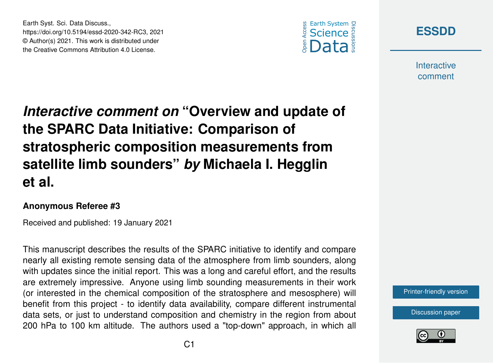

**[ESSDD](https://essd.copernicus.org/preprints/)**

**Interactive** comment

*Interactive comment on* **"Overview and update of the SPARC Data Initiative: Comparison of stratospheric composition measurements from satellite limb sounders"** *by* **Michaela I. Hegglin et al.**

## **Anonymous Referee #3**

Earth Syst. Sci. Data Discuss.,

https://doi.org/10.5194/essd-2020-342-RC3, 2021 © Author(s) 2021. This work is distributed under the Creative Commons Attribution 4.0 License.

Received and published: 19 January 2021

This manuscript describes the results of the SPARC initiative to identify and compare nearly all existing remote sensing data of the atmosphere from limb sounders, along with updates since the initial report. This was a long and careful effort, and the results are extremely impressive. Anyone using limb sounding measurements in their work (or interested in the chemical composition of the stratosphere and mesosphere) will benefit from this project - to identify data availability, compare different instrumental data sets, or just to understand composition and chemistry in the region from about 200 hPa to 100 km altitude. The authors used a "top-down" approach, in which all



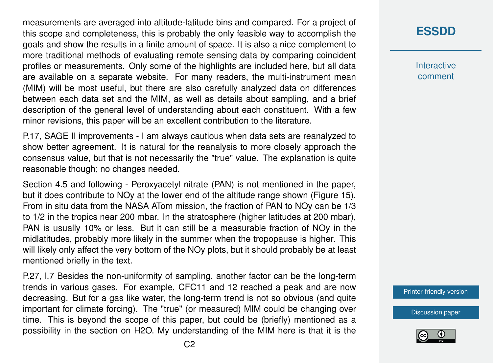measurements are averaged into altitude-latitude bins and compared. For a project of this scope and completeness, this is probably the only feasible way to accomplish the goals and show the results in a finite amount of space. It is also a nice complement to more traditional methods of evaluating remote sensing data by comparing coincident profiles or measurements. Only some of the highlights are included here, but all data are available on a separate website. For many readers, the multi-instrument mean (MIM) will be most useful, but there are also carefully analyzed data on differences between each data set and the MIM, as well as details about sampling, and a brief description of the general level of understanding about each constituent. With a few minor revisions, this paper will be an excellent contribution to the literature.

P.17, SAGE II improvements - I am always cautious when data sets are reanalyzed to show better agreement. It is natural for the reanalysis to more closely approach the consensus value, but that is not necessarily the "true" value. The explanation is quite reasonable though; no changes needed.

Section 4.5 and following - Peroxyacetyl nitrate (PAN) is not mentioned in the paper, but it does contribute to NOy at the lower end of the altitude range shown (Figure 15). From in situ data from the NASA ATom mission, the fraction of PAN to NOy can be 1/3 to 1/2 in the tropics near 200 mbar. In the stratosphere (higher latitudes at 200 mbar), PAN is usually 10% or less. But it can still be a measurable fraction of NOy in the midlatitudes, probably more likely in the summer when the tropopause is higher. This will likely only affect the very bottom of the NOy plots, but it should probably be at least mentioned briefly in the text.

P.27, l.7 Besides the non-uniformity of sampling, another factor can be the long-term trends in various gases. For example, CFC11 and 12 reached a peak and are now decreasing. But for a gas like water, the long-term trend is not so obvious (and quite important for climate forcing). The "true" (or measured) MIM could be changing over time. This is beyond the scope of this paper, but could be (briefly) mentioned as a possibility in the section on H2O. My understanding of the MIM here is that it is the **[ESSDD](https://essd.copernicus.org/preprints/)**

**Interactive** comment

[Printer-friendly version](https://essd.copernicus.org/preprints/essd-2020-342/essd-2020-342-RC3-print.pdf)

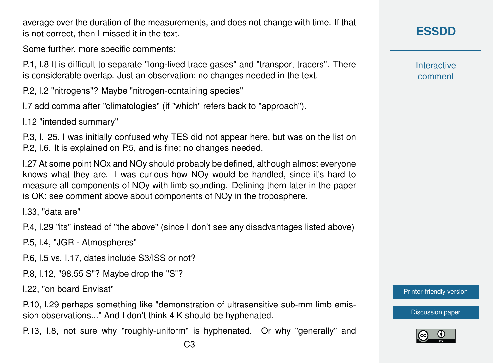C3

average over the duration of the measurements, and does not change with time. If that is not correct, then I missed it in the text.

Some further, more specific comments:

P.1, l.8 It is difficult to separate "long-lived trace gases" and "transport tracers". There is considerable overlap. Just an observation; no changes needed in the text.

P.2, l.2 "nitrogens"? Maybe "nitrogen-containing species"

l.7 add comma after "climatologies" (if "which" refers back to "approach").

l.12 "intended summary"

P.3, l. 25, I was initially confused why TES did not appear here, but was on the list on P.2, l.6. It is explained on P.5, and is fine; no changes needed.

l.27 At some point NOx and NOy should probably be defined, although almost everyone knows what they are. I was curious how NOy would be handled, since it's hard to measure all components of NOy with limb sounding. Defining them later in the paper is OK; see comment above about components of NOy in the troposphere.

l.33, "data are"

P.4, l.29 "its" instead of "the above" (since I don't see any disadvantages listed above)

P.5, l.4, "JGR - Atmospheres"

P.6, l.5 vs. l.17, dates include S3/ISS or not?

P.8, l.12, "98.55 S"? Maybe drop the "S"?

l.22, "on board Envisat"

P.10, l.29 perhaps something like "demonstration of ultrasensitive sub-mm limb emission observations..." And I don't think 4 K should be hyphenated.

P.13, l.8, not sure why "roughly-uniform" is hyphenated. Or why "generally" and

**[ESSDD](https://essd.copernicus.org/preprints/)**

**Interactive** comment

[Printer-friendly version](https://essd.copernicus.org/preprints/essd-2020-342/essd-2020-342-RC3-print.pdf)

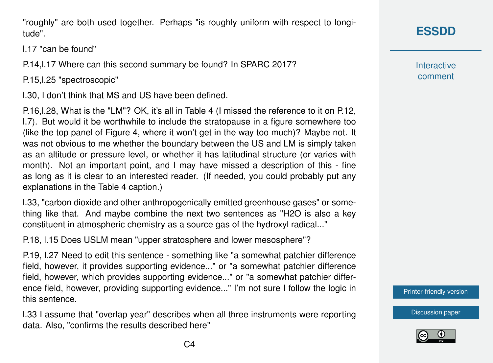"roughly" are both used together. Perhaps "is roughly uniform with respect to longitude".

l.17 "can be found"

P.14,l.17 Where can this second summary be found? In SPARC 2017?

P.15,l.25 "spectroscopic"

l.30, I don't think that MS and US have been defined.

P.16,l.28, What is the "LM"? OK, it's all in Table 4 (I missed the reference to it on P.12, l.7). But would it be worthwhile to include the stratopause in a figure somewhere too (like the top panel of Figure 4, where it won't get in the way too much)? Maybe not. It was not obvious to me whether the boundary between the US and LM is simply taken as an altitude or pressure level, or whether it has latitudinal structure (or varies with month). Not an important point, and I may have missed a description of this - fine as long as it is clear to an interested reader. (If needed, you could probably put any explanations in the Table 4 caption.)

l.33, "carbon dioxide and other anthropogenically emitted greenhouse gases" or something like that. And maybe combine the next two sentences as "H2O is also a key constituent in atmospheric chemistry as a source gas of the hydroxyl radical..."

P.18, l.15 Does USLM mean "upper stratosphere and lower mesosphere"?

P.19, l.27 Need to edit this sentence - something like "a somewhat patchier difference field, however, it provides supporting evidence..." or "a somewhat patchier difference field, however, which provides supporting evidence..." or "a somewhat patchier difference field, however, providing supporting evidence..." I'm not sure I follow the logic in this sentence.

l.33 I assume that "overlap year" describes when all three instruments were reporting data. Also, "confirms the results described here"

**Interactive** comment

[Printer-friendly version](https://essd.copernicus.org/preprints/essd-2020-342/essd-2020-342-RC3-print.pdf)

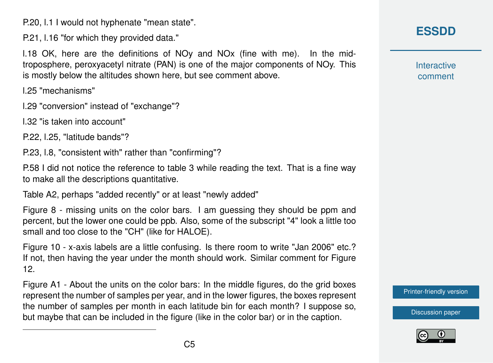P.20, l.1 I would not hyphenate "mean state".

P.21, l.16 "for which they provided data."

l.18 OK, here are the definitions of NOy and NOx (fine with me). In the midtroposphere, peroxyacetyl nitrate (PAN) is one of the major components of NOy. This is mostly below the altitudes shown here, but see comment above.

l.25 "mechanisms"

l.29 "conversion" instead of "exchange"?

l.32 "is taken into account"

P.22, l.25, "latitude bands"?

P.23, l.8, "consistent with" rather than "confirming"?

P.58 I did not notice the reference to table 3 while reading the text. That is a fine way to make all the descriptions quantitative.

Table A2, perhaps "added recently" or at least "newly added"

Figure 8 - missing units on the color bars. I am guessing they should be ppm and percent, but the lower one could be ppb. Also, some of the subscript "4" look a little too small and too close to the "CH" (like for HALOE).

Figure 10 - x-axis labels are a little confusing. Is there room to write "Jan 2006" etc.? If not, then having the year under the month should work. Similar comment for Figure 12.

Figure A1 - About the units on the color bars: In the middle figures, do the grid boxes represent the number of samples per year, and in the lower figures, the boxes represent the number of samples per month in each latitude bin for each month? I suppose so, but maybe that can be included in the figure (like in the color bar) or in the caption.

**Interactive** comment

[Printer-friendly version](https://essd.copernicus.org/preprints/essd-2020-342/essd-2020-342-RC3-print.pdf)